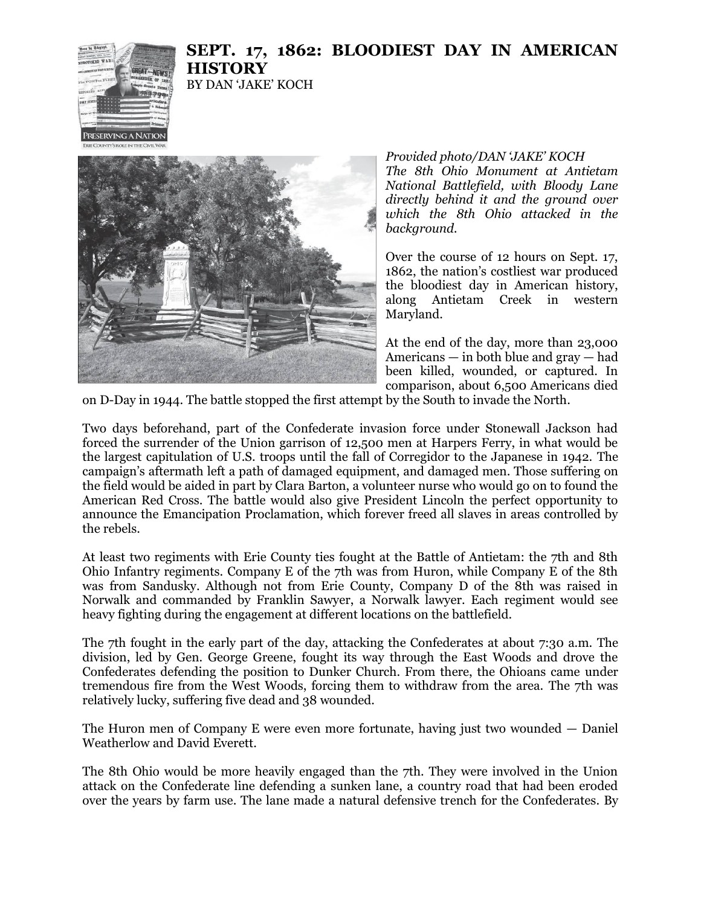

## **SEPT. 17, 1862: BLOODIEST DAY IN AMERICAN HISTORY** BY DAN 'JAKE' KOCH



## *Provided photo/DAN 'JAKE' KOCH The 8th Ohio Monument at Antietam National Battlefield, with Bloody Lane directly behind it and the ground over which the 8th Ohio attacked in the background.*

Over the course of 12 hours on Sept. 17, 1862, the nation's costliest war produced the bloodiest day in American history, along Antietam Creek in western Maryland.

At the end of the day, more than 23,000 Americans — in both blue and gray — had been killed, wounded, or captured. In comparison, about 6,500 Americans died

on D-Day in 1944. The battle stopped the first attempt by the South to invade the North.

Two days beforehand, part of the Confederate invasion force under Stonewall Jackson had forced the surrender of the Union garrison of 12,500 men at Harpers Ferry, in what would be the largest capitulation of U.S. troops until the fall of Corregidor to the Japanese in 1942. The campaign's aftermath left a path of damaged equipment, and damaged men. Those suffering on the field would be aided in part by Clara Barton, a volunteer nurse who would go on to found the American Red Cross. The battle would also give President Lincoln the perfect opportunity to announce the Emancipation Proclamation, which forever freed all slaves in areas controlled by the rebels.

At least two regiments with Erie County ties fought at the Battle of Antietam: the 7th and 8th Ohio Infantry regiments. Company E of the 7th was from Huron, while Company E of the 8th was from Sandusky. Although not from Erie County, Company D of the 8th was raised in Norwalk and commanded by Franklin Sawyer, a Norwalk lawyer. Each regiment would see heavy fighting during the engagement at different locations on the battlefield.

The 7th fought in the early part of the day, attacking the Confederates at about 7:30 a.m. The division, led by Gen. George Greene, fought its way through the East Woods and drove the Confederates defending the position to Dunker Church. From there, the Ohioans came under tremendous fire from the West Woods, forcing them to withdraw from the area. The 7th was relatively lucky, suffering five dead and 38 wounded.

The Huron men of Company E were even more fortunate, having just two wounded — Daniel Weatherlow and David Everett.

The 8th Ohio would be more heavily engaged than the 7th. They were involved in the Union attack on the Confederate line defending a sunken lane, a country road that had been eroded over the years by farm use. The lane made a natural defensive trench for the Confederates. By